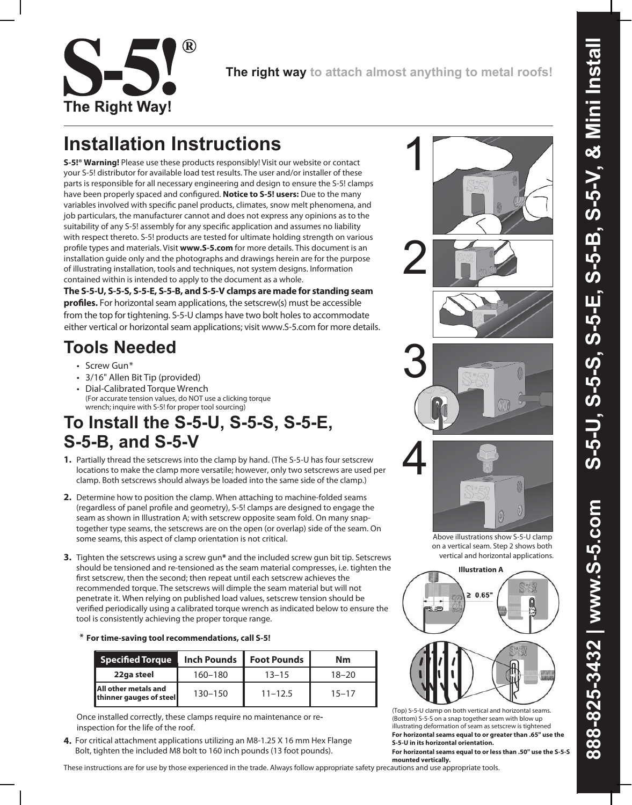

**The right way to attach almost anything to metal roofs!**

1

# **Installation Instructions**

**S-5!® Warning!** Please use these products responsibly! Visit our website or contact your S-5! distributor for available load test results. The user and/or installer of these parts is responsible for all necessary engineering and design to ensure the S-5! clamps have been properly spaced and configured. **Notice to S-5! users:** Due to the many variables involved with specific panel products, climates, snow melt phenomena, and job particulars, the manufacturer cannot and does not express any opinions as to the suitability of any S-5! assembly for any specific application and assumes no liability with respect thereto. S-5! products are tested for ultimate holding strength on various profile types and materials. Visit **www.S-5.com** for more details. This document is an installation guide only and the photographs and drawings herein are for the purpose of illustrating installation, tools and techniques, not system designs. Information contained within is intended to apply to the document as a whole.

**The S-5-U, S-5-S, S-5-E, S-5-B, and S-5-V clamps are made for standing seam profiles.** For horizontal seam applications, the setscrew(s) must be accessible from the top for tightening. S-5-U clamps have two bolt holes to accommodate either vertical or horizontal seam applications; visit www.S-5.com for more details.

## **Tools Needed**

- Screw Gun\*
- 3/16" Allen Bit Tip (provided)
- Dial-Calibrated Torque Wrench (For accurate tension values, do NOT use a clicking torque wrench; inquire with S-5! for proper tool sourcing)

### **To Install the S-5-U, S-5-S, S-5-E, S-5-B, and S-5-V**

- **1.** Partially thread the setscrews into the clamp by hand. (The S-5-U has four setscrew locations to make the clamp more versatile; however, only two setscrews are used per clamp. Both setscrews should always be loaded into the same side of the clamp.)
- **2.** Determine how to position the clamp. When attaching to machine-folded seams (regardless of panel profile and geometry), S-5! clamps are designed to engage the seam as shown in Illustration A; with setscrew opposite seam fold. On many snaptogether type seams, the setscrews are on the open (or overlap) side of the seam. On some seams, this aspect of clamp orientation is not critical.
- **3.** Tighten the setscrews using a screw gun**\*** and the included screw gun bit tip. Setscrews should be tensioned and re-tensioned as the seam material compresses, i.e. tighten the first setscrew, then the second; then repeat until each setscrew achieves the recommended torque. The setscrews will dimple the seam material but will not penetrate it. When relying on published load values, setscrew tension should be verified periodically using a calibrated torque wrench as indicated below to ensure the tool is consistently achieving the proper torque range.

|  |  | * For time-saving tool recommendations, call S-5! |  |
|--|--|---------------------------------------------------|--|
|--|--|---------------------------------------------------|--|

| <b>Specified Torque</b>                         | <b>Inch Pounds</b> | <b>Foot Pounds</b> | Nm        |
|-------------------------------------------------|--------------------|--------------------|-----------|
| 22ga steel                                      | 160-180            | $13 - 15$          | $18 - 20$ |
| All other metals and<br>thinner gauges of steel | $130 - 150$        | $11 - 12.5$        | $15 - 17$ |

Once installed correctly, these clamps require no maintenance or reinspection for the life of the roof.

**4.** For critical attachment applications utilizing an M8-1.25 X 16 mm Hex Flange Bolt, tighten the included M8 bolt to 160 inch pounds (13 foot pounds).

These instructions are for use by those experienced in the trade. Always follow appropriate safety precautions and use appropriate tools.





Above illustrations show S-5-U clamp on a vertical seam. Step 2 shows both vertical and horizontal applications.



**For horizontal seams equal to or greater than .65" use the S-5-U in its horizontal orientation.** (Top) S-5-U clamp on both vertical and horizontal seams. (Bottom) S-5-S on a snap together seam with blow up illustrating deformation of seam as setscrew is tightened

**For horizontal seams equal to or less than .50" use the S-5-S mounted vertically.**